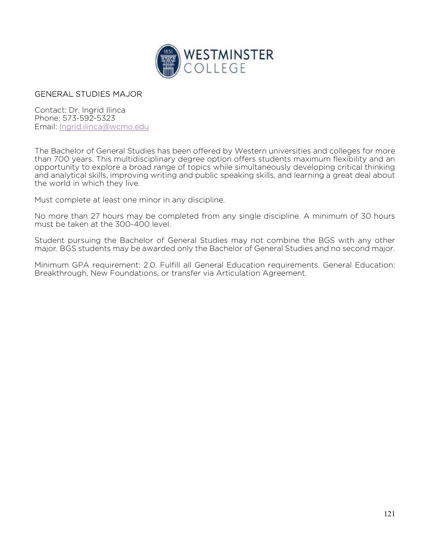

## GENERAL STUDIES MAJOR

Contact: Dr. Ingrid Ilinca Phone: 573-592-5323 Email: Ingrid.ilinca@wcmo.edu

The Bachelor of General Studies has been offered by Western universities and colleges for more than 700 years. This multidisciplinary degree option offers students maximum flexibility and an opportunity to explore a broad range of topics while simultaneously developing critical thinking and analytical skills, improving writing and public speaking skills, and learning a great deal about the world in which they live.

Must complete at least one minor in any discipline.

No more than 27 hours may be completed from any single discipline. A minimum of 30 hours must be taken at the 300-400 level.

Student pursuing the Bachelor of General Studies may not combine the BGS with any other major. BGS students may be awarded only the Bachelor of General Studies and no second major.

Minimum GPA requirement: 2.0. Fulfill all General Education requirements. General Education: Breakthrough, New Foundations, or transfer via Articulation Agreement.